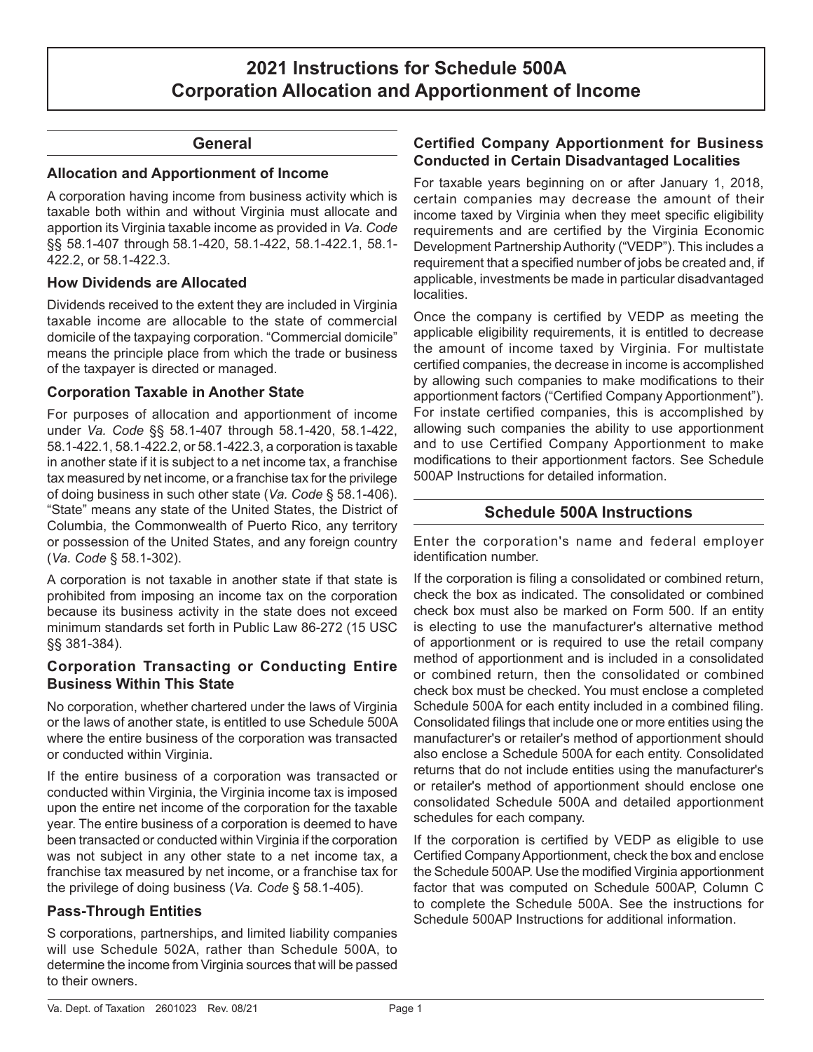# **2021 Instructions for Schedule 500A Corporation Allocation and Apportionment of Income**

### **General**

#### **Allocation and Apportionment of Income**

A corporation having income from business activity which is taxable both within and without Virginia must allocate and apportion its Virginia taxable income as provided in *Va. Code*  §§ 58.1-407 through 58.1-420, 58.1-422, 58.1-422.1, 58.1- 422.2, or 58.1-422.3.

#### **How Dividends are Allocated**

Dividends received to the extent they are included in Virginia taxable income are allocable to the state of commercial domicile of the taxpaying corporation. "Commercial domicile" means the principle place from which the trade or business of the taxpayer is directed or managed.

#### **Corporation Taxable in Another State**

For purposes of allocation and apportionment of income under *Va. Code* §§ 58.1-407 through 58.1-420, 58.1-422, 58.1-422.1, 58.1-422.2, or 58.1-422.3, a corporation is taxable in another state if it is subject to a net income tax, a franchise tax measured by net income, or a franchise tax for the privilege of doing business in such other state (*Va. Code* § 58.1-406). "State" means any state of the United States, the District of Columbia, the Commonwealth of Puerto Rico, any territory or possession of the United States, and any foreign country (*Va. Code* § 58.1-302).

A corporation is not taxable in another state if that state is prohibited from imposing an income tax on the corporation because its business activity in the state does not exceed minimum standards set forth in Public Law 86-272 (15 USC §§ 381-384).

#### **Corporation Transacting or Conducting Entire Business Within This State**

No corporation, whether chartered under the laws of Virginia or the laws of another state, is entitled to use Schedule 500A where the entire business of the corporation was transacted or conducted within Virginia.

If the entire business of a corporation was transacted or conducted within Virginia, the Virginia income tax is imposed upon the entire net income of the corporation for the taxable year. The entire business of a corporation is deemed to have been transacted or conducted within Virginia if the corporation was not subject in any other state to a net income tax, a franchise tax measured by net income, or a franchise tax for the privilege of doing business (*Va. Code* § 58.1-405).

### **Pass-Through Entities**

S corporations, partnerships, and limited liability companies will use Schedule 502A, rather than Schedule 500A, to determine the income from Virginia sources that will be passed to their owners.

### **Certified Company Apportionment for Business Conducted in Certain Disadvantaged Localities**

For taxable years beginning on or after January 1, 2018, certain companies may decrease the amount of their income taxed by Virginia when they meet specific eligibility requirements and are certified by the Virginia Economic Development Partnership Authority ("VEDP"). This includes a requirement that a specified number of jobs be created and, if applicable, investments be made in particular disadvantaged localities.

Once the company is certified by VEDP as meeting the applicable eligibility requirements, it is entitled to decrease the amount of income taxed by Virginia. For multistate certified companies, the decrease in income is accomplished by allowing such companies to make modifications to their apportionment factors ("Certified Company Apportionment"). For instate certified companies, this is accomplished by allowing such companies the ability to use apportionment and to use Certified Company Apportionment to make modifications to their apportionment factors. See Schedule 500AP Instructions for detailed information.

### **Schedule 500A Instructions**

Enter the corporation's name and federal employer identification number.

If the corporation is filing a consolidated or combined return, check the box as indicated. The consolidated or combined check box must also be marked on Form 500. If an entity is electing to use the manufacturer's alternative method of apportionment or is required to use the retail company method of apportionment and is included in a consolidated or combined return, then the consolidated or combined check box must be checked. You must enclose a completed Schedule 500A for each entity included in a combined filing. Consolidated filings that include one or more entities using the manufacturer's or retailer's method of apportionment should also enclose a Schedule 500A for each entity. Consolidated returns that do not include entities using the manufacturer's or retailer's method of apportionment should enclose one consolidated Schedule 500A and detailed apportionment schedules for each company.

If the corporation is certified by VEDP as eligible to use Certified Company Apportionment, check the box and enclose the Schedule 500AP. Use the modified Virginia apportionment factor that was computed on Schedule 500AP, Column C to complete the Schedule 500A. See the instructions for Schedule 500AP Instructions for additional information.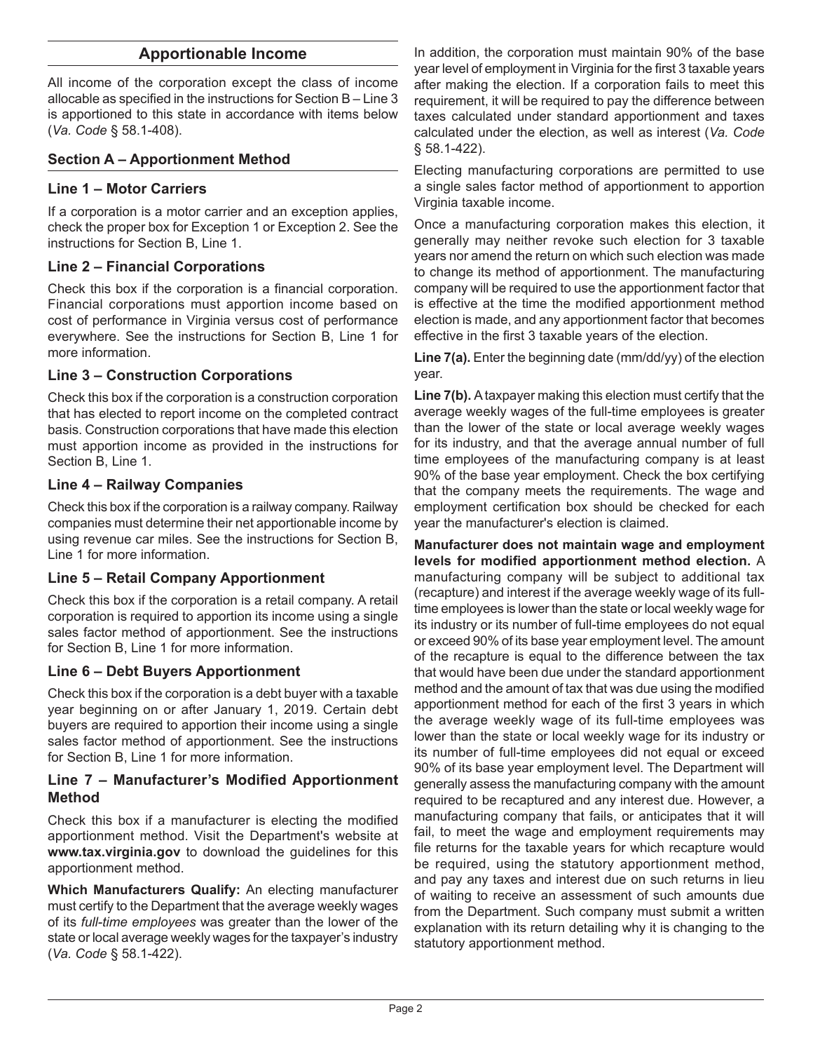### **Apportionable Income**

All income of the corporation except the class of income allocable as specified in the instructions for Section B – Line 3 is apportioned to this state in accordance with items below (*Va. Code* § 58.1-408).

#### **Section A – Apportionment Method**

#### **Line 1 – Motor Carriers**

If a corporation is a motor carrier and an exception applies, check the proper box for Exception 1 or Exception 2. See the instructions for Section B, Line 1.

#### **Line 2 – Financial Corporations**

Check this box if the corporation is a financial corporation. Financial corporations must apportion income based on cost of performance in Virginia versus cost of performance everywhere. See the instructions for Section B, Line 1 for more information.

#### **Line 3 – Construction Corporations**

Check this box if the corporation is a construction corporation that has elected to report income on the completed contract basis. Construction corporations that have made this election must apportion income as provided in the instructions for Section B, Line 1.

#### **Line 4 – Railway Companies**

Check this box if the corporation is a railway company. Railway companies must determine their net apportionable income by using revenue car miles. See the instructions for Section B, Line 1 for more information.

#### **Line 5 – Retail Company Apportionment**

Check this box if the corporation is a retail company. A retail corporation is required to apportion its income using a single sales factor method of apportionment. See the instructions for Section B, Line 1 for more information.

### **Line 6 – Debt Buyers Apportionment**

Check this box if the corporation is a debt buyer with a taxable year beginning on or after January 1, 2019. Certain debt buyers are required to apportion their income using a single sales factor method of apportionment. See the instructions for Section B, Line 1 for more information.

#### **Line 7 – Manufacturer's Modified Apportionment Method**

Check this box if a manufacturer is electing the modified apportionment method. Visit the Department's website at **www.tax.virginia.gov** to download the guidelines for this apportionment method.

**Which Manufacturers Qualify:** An electing manufacturer must certify to the Department that the average weekly wages of its *full-time employees* was greater than the lower of the state or local average weekly wages for the taxpayer's industry (*Va. Code* § 58.1-422).

In addition, the corporation must maintain 90% of the base year level of employment in Virginia for the first 3 taxable years after making the election. If a corporation fails to meet this requirement, it will be required to pay the difference between taxes calculated under standard apportionment and taxes calculated under the election, as well as interest (*Va. Code* § 58.1-422).

Electing manufacturing corporations are permitted to use a single sales factor method of apportionment to apportion Virginia taxable income.

Once a manufacturing corporation makes this election, it generally may neither revoke such election for 3 taxable years nor amend the return on which such election was made to change its method of apportionment. The manufacturing company will be required to use the apportionment factor that is effective at the time the modified apportionment method election is made, and any apportionment factor that becomes effective in the first 3 taxable years of the election.

**Line 7(a).** Enter the beginning date (mm/dd/yy) of the election year.

**Line 7(b).** A taxpayer making this election must certify that the average weekly wages of the full-time employees is greater than the lower of the state or local average weekly wages for its industry, and that the average annual number of full time employees of the manufacturing company is at least 90% of the base year employment. Check the box certifying that the company meets the requirements. The wage and employment certification box should be checked for each year the manufacturer's election is claimed.

**Manufacturer does not maintain wage and employment levels for modified apportionment method election.** A manufacturing company will be subject to additional tax (recapture) and interest if the average weekly wage of its fulltime employees is lower than the state or local weekly wage for its industry or its number of full-time employees do not equal or exceed 90% of its base year employment level. The amount of the recapture is equal to the difference between the tax that would have been due under the standard apportionment method and the amount of tax that was due using the modified apportionment method for each of the first 3 years in which the average weekly wage of its full-time employees was lower than the state or local weekly wage for its industry or its number of full-time employees did not equal or exceed 90% of its base year employment level. The Department will generally assess the manufacturing company with the amount required to be recaptured and any interest due. However, a manufacturing company that fails, or anticipates that it will fail, to meet the wage and employment requirements may file returns for the taxable years for which recapture would be required, using the statutory apportionment method, and pay any taxes and interest due on such returns in lieu of waiting to receive an assessment of such amounts due from the Department. Such company must submit a written explanation with its return detailing why it is changing to the statutory apportionment method.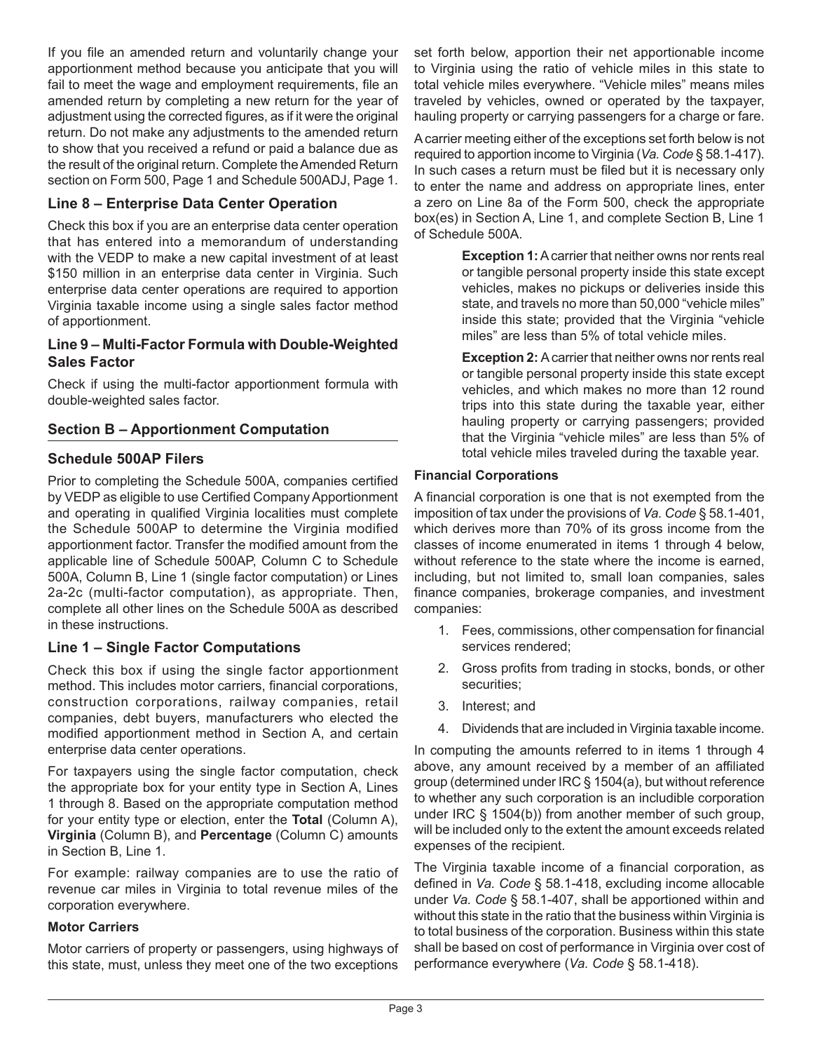If you file an amended return and voluntarily change your apportionment method because you anticipate that you will fail to meet the wage and employment requirements, file an amended return by completing a new return for the year of adjustment using the corrected figures, as if it were the original return. Do not make any adjustments to the amended return to show that you received a refund or paid a balance due as the result of the original return. Complete the Amended Return section on Form 500, Page 1 and Schedule 500ADJ, Page 1.

### **Line 8 – Enterprise Data Center Operation**

Check this box if you are an enterprise data center operation that has entered into a memorandum of understanding with the VEDP to make a new capital investment of at least \$150 million in an enterprise data center in Virginia. Such enterprise data center operations are required to apportion Virginia taxable income using a single sales factor method of apportionment.

### **Line 9 – Multi-Factor Formula with Double-Weighted Sales Factor**

Check if using the multi-factor apportionment formula with double-weighted sales factor.

### **Section B – Apportionment Computation**

### **Schedule 500AP Filers**

Prior to completing the Schedule 500A, companies certified by VEDP as eligible to use Certified Company Apportionment and operating in qualified Virginia localities must complete the Schedule 500AP to determine the Virginia modified apportionment factor. Transfer the modified amount from the applicable line of Schedule 500AP, Column C to Schedule 500A, Column B, Line 1 (single factor computation) or Lines 2a-2c (multi-factor computation), as appropriate. Then, complete all other lines on the Schedule 500A as described in these instructions.

### **Line 1 – Single Factor Computations**

Check this box if using the single factor apportionment method. This includes motor carriers, financial corporations, construction corporations, railway companies, retail companies, debt buyers, manufacturers who elected the modified apportionment method in Section A, and certain enterprise data center operations.

For taxpayers using the single factor computation, check the appropriate box for your entity type in Section A, Lines 1 through 8. Based on the appropriate computation method for your entity type or election, enter the **Total** (Column A), **Virginia** (Column B), and **Percentage** (Column C) amounts in Section B, Line 1.

For example: railway companies are to use the ratio of revenue car miles in Virginia to total revenue miles of the corporation everywhere.

#### **Motor Carriers**

Motor carriers of property or passengers, using highways of this state, must, unless they meet one of the two exceptions

set forth below, apportion their net apportionable income to Virginia using the ratio of vehicle miles in this state to total vehicle miles everywhere. "Vehicle miles" means miles traveled by vehicles, owned or operated by the taxpayer, hauling property or carrying passengers for a charge or fare.

A carrier meeting either of the exceptions set forth below is not required to apportion income to Virginia (*Va. Code* § 58.1-417). In such cases a return must be filed but it is necessary only to enter the name and address on appropriate lines, enter a zero on Line 8a of the Form 500, check the appropriate box(es) in Section A, Line 1, and complete Section B, Line 1 of Schedule 500A.

> **Exception 1:** A carrier that neither owns nor rents real or tangible personal property inside this state except vehicles, makes no pickups or deliveries inside this state, and travels no more than 50,000 "vehicle miles" inside this state; provided that the Virginia "vehicle miles" are less than 5% of total vehicle miles.

> **Exception 2:** A carrier that neither owns nor rents real or tangible personal property inside this state except vehicles, and which makes no more than 12 round trips into this state during the taxable year, either hauling property or carrying passengers; provided that the Virginia "vehicle miles" are less than 5% of total vehicle miles traveled during the taxable year.

#### **Financial Corporations**

A financial corporation is one that is not exempted from the imposition of tax under the provisions of *Va. Code* § 58.1-401, which derives more than 70% of its gross income from the classes of income enumerated in items 1 through 4 below, without reference to the state where the income is earned, including, but not limited to, small loan companies, sales finance companies, brokerage companies, and investment companies:

- 1. Fees, commissions, other compensation for financial services rendered;
- 2. Gross profits from trading in stocks, bonds, or other securities;
- 3. Interest; and
- 4. Dividends that are included in Virginia taxable income.

In computing the amounts referred to in items 1 through 4 above, any amount received by a member of an affiliated group (determined under IRC § 1504(a), but without reference to whether any such corporation is an includible corporation under IRC § 1504(b)) from another member of such group, will be included only to the extent the amount exceeds related expenses of the recipient.

The Virginia taxable income of a financial corporation, as defined in *Va. Code* § 58.1-418, excluding income allocable under *Va. Code* § 58.1-407, shall be apportioned within and without this state in the ratio that the business within Virginia is to total business of the corporation. Business within this state shall be based on cost of performance in Virginia over cost of performance everywhere (*Va. Code* § 58.1-418).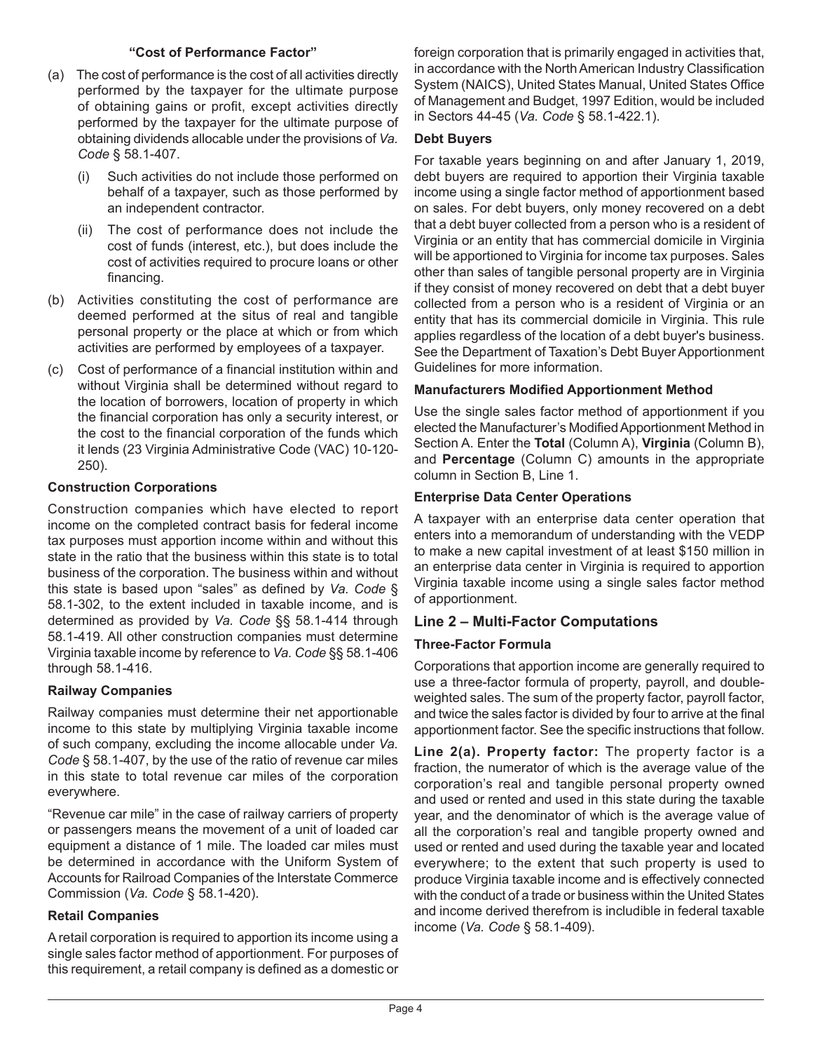#### **"Cost of Performance Factor"**

- (a) The cost of performance is the cost of all activities directly performed by the taxpayer for the ultimate purpose of obtaining gains or profit, except activities directly performed by the taxpayer for the ultimate purpose of obtaining dividends allocable under the provisions of *Va. Code* § 58.1-407.
	- (i) Such activities do not include those performed on behalf of a taxpayer, such as those performed by an independent contractor.
	- (ii) The cost of performance does not include the cost of funds (interest, etc.), but does include the cost of activities required to procure loans or other financing.
- (b) Activities constituting the cost of performance are deemed performed at the situs of real and tangible personal property or the place at which or from which activities are performed by employees of a taxpayer.
- (c) Cost of performance of a financial institution within and without Virginia shall be determined without regard to the location of borrowers, location of property in which the financial corporation has only a security interest, or the cost to the financial corporation of the funds which it lends (23 Virginia Administrative Code (VAC) 10-120- 250).

# **Construction Corporations**

Construction companies which have elected to report income on the completed contract basis for federal income tax purposes must apportion income within and without this state in the ratio that the business within this state is to total business of the corporation. The business within and without this state is based upon "sales" as defined by *Va. Code* § 58.1-302, to the extent included in taxable income, and is determined as provided by *Va. Code* §§ 58.1-414 through 58.1-419. All other construction companies must determine Virginia taxable income by reference to *Va. Code* §§ 58.1-406 through 58.1-416.

# **Railway Companies**

Railway companies must determine their net apportionable income to this state by multiplying Virginia taxable income of such company, excluding the income allocable under *Va. Code* § 58.1-407, by the use of the ratio of revenue car miles in this state to total revenue car miles of the corporation everywhere.

"Revenue car mile" in the case of railway carriers of property or passengers means the movement of a unit of loaded car equipment a distance of 1 mile. The loaded car miles must be determined in accordance with the Uniform System of Accounts for Railroad Companies of the Interstate Commerce Commission (*Va. Code* § 58.1-420).

# **Retail Companies**

A retail corporation is required to apportion its income using a single sales factor method of apportionment. For purposes of this requirement, a retail company is defined as a domestic or foreign corporation that is primarily engaged in activities that, in accordance with the North American Industry Classification System (NAICS), United States Manual, United States Office of Management and Budget, 1997 Edition, would be included in Sectors 44-45 (*Va. Code* § 58.1-422.1).

#### **Debt Buyers**

For taxable years beginning on and after January 1, 2019, debt buyers are required to apportion their Virginia taxable income using a single factor method of apportionment based on sales. For debt buyers, only money recovered on a debt that a debt buyer collected from a person who is a resident of Virginia or an entity that has commercial domicile in Virginia will be apportioned to Virginia for income tax purposes. Sales other than sales of tangible personal property are in Virginia if they consist of money recovered on debt that a debt buyer collected from a person who is a resident of Virginia or an entity that has its commercial domicile in Virginia. This rule applies regardless of the location of a debt buyer's business. See the Department of Taxation's Debt Buyer Apportionment Guidelines for more information.

### **Manufacturers Modified Apportionment Method**

Use the single sales factor method of apportionment if you elected the Manufacturer's Modified Apportionment Method in Section A. Enter the **Total** (Column A), **Virginia** (Column B), and **Percentage** (Column C) amounts in the appropriate column in Section B, Line 1.

### **Enterprise Data Center Operations**

A taxpayer with an enterprise data center operation that enters into a memorandum of understanding with the VEDP to make a new capital investment of at least \$150 million in an enterprise data center in Virginia is required to apportion Virginia taxable income using a single sales factor method of apportionment.

### **Line 2 – Multi-Factor Computations**

### **Three-Factor Formula**

Corporations that apportion income are generally required to use a three-factor formula of property, payroll, and doubleweighted sales. The sum of the property factor, payroll factor, and twice the sales factor is divided by four to arrive at the final apportionment factor. See the specific instructions that follow.

**Line 2(a). Property factor:** The property factor is a fraction, the numerator of which is the average value of the corporation's real and tangible personal property owned and used or rented and used in this state during the taxable year, and the denominator of which is the average value of all the corporation's real and tangible property owned and used or rented and used during the taxable year and located everywhere; to the extent that such property is used to produce Virginia taxable income and is effectively connected with the conduct of a trade or business within the United States and income derived therefrom is includible in federal taxable income (*Va. Code* § 58.1-409).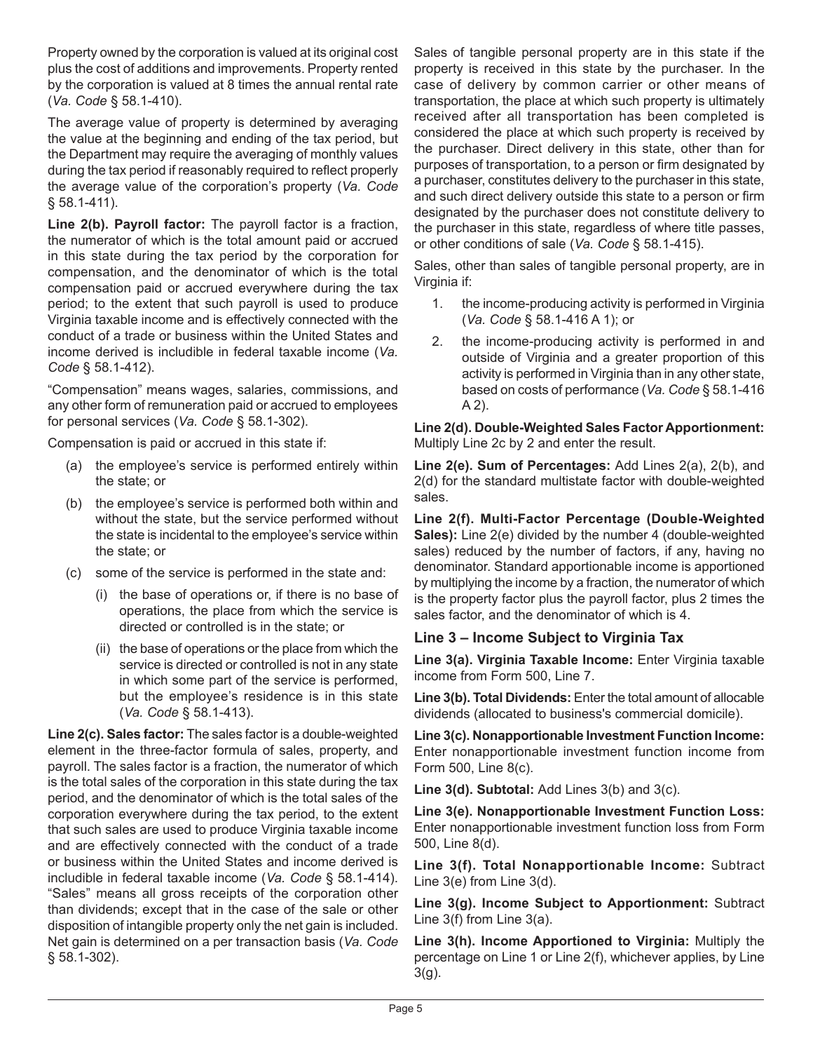Property owned by the corporation is valued at its original cost plus the cost of additions and improvements. Property rented by the corporation is valued at 8 times the annual rental rate (*Va. Code* § 58.1-410).

The average value of property is determined by averaging the value at the beginning and ending of the tax period, but the Department may require the averaging of monthly values during the tax period if reasonably required to reflect properly the average value of the corporation's property (*Va. Code* § 58.1-411).

**Line 2(b). Payroll factor:** The payroll factor is a fraction, the numerator of which is the total amount paid or accrued in this state during the tax period by the corporation for compensation, and the denominator of which is the total compensation paid or accrued everywhere during the tax period; to the extent that such payroll is used to produce Virginia taxable income and is effectively connected with the conduct of a trade or business within the United States and income derived is includible in federal taxable income (*Va. Code* § 58.1-412).

"Compensation" means wages, salaries, commissions, and any other form of remuneration paid or accrued to employees for personal services (*Va. Code* § 58.1-302).

Compensation is paid or accrued in this state if:

- (a) the employee's service is performed entirely within the state; or
- (b) the employee's service is performed both within and without the state, but the service performed without the state is incidental to the employee's service within the state; or
- (c) some of the service is performed in the state and:
	- (i) the base of operations or, if there is no base of operations, the place from which the service is directed or controlled is in the state; or
	- (ii) the base of operations or the place from which the service is directed or controlled is not in any state in which some part of the service is performed, but the employee's residence is in this state (*Va. Code* § 58.1-413).

**Line 2(c). Sales factor:** The sales factor is a double-weighted element in the three-factor formula of sales, property, and payroll. The sales factor is a fraction, the numerator of which is the total sales of the corporation in this state during the tax period, and the denominator of which is the total sales of the corporation everywhere during the tax period, to the extent that such sales are used to produce Virginia taxable income and are effectively connected with the conduct of a trade or business within the United States and income derived is includible in federal taxable income (*Va. Code* § 58.1-414). "Sales" means all gross receipts of the corporation other than dividends; except that in the case of the sale or other disposition of intangible property only the net gain is included. Net gain is determined on a per transaction basis (*Va. Code* § 58.1-302).

Sales of tangible personal property are in this state if the property is received in this state by the purchaser. In the case of delivery by common carrier or other means of transportation, the place at which such property is ultimately received after all transportation has been completed is considered the place at which such property is received by the purchaser. Direct delivery in this state, other than for purposes of transportation, to a person or firm designated by a purchaser, constitutes delivery to the purchaser in this state, and such direct delivery outside this state to a person or firm designated by the purchaser does not constitute delivery to the purchaser in this state, regardless of where title passes, or other conditions of sale (*Va. Code* § 58.1-415).

Sales, other than sales of tangible personal property, are in Virginia if:

- 1. the income-producing activity is performed in Virginia (*Va. Code* § 58.1-416 A 1); or
- 2. the income-producing activity is performed in and outside of Virginia and a greater proportion of this activity is performed in Virginia than in any other state, based on costs of performance (*Va. Code* § 58.1-416 A 2).

**Line 2(d). Double-Weighted Sales Factor Apportionment:**  Multiply Line 2c by 2 and enter the result.

**Line 2(e). Sum of Percentages:** Add Lines 2(a), 2(b), and 2(d) for the standard multistate factor with double-weighted sales.

**Line 2(f). Multi-Factor Percentage (Double-Weighted Sales):** Line 2(e) divided by the number 4 (double-weighted sales) reduced by the number of factors, if any, having no denominator. Standard apportionable income is apportioned by multiplying the income by a fraction, the numerator of which is the property factor plus the payroll factor, plus 2 times the sales factor, and the denominator of which is 4.

### **Line 3 – Income Subject to Virginia Tax**

**Line 3(a). Virginia Taxable Income:** Enter Virginia taxable income from Form 500, Line 7.

**Line 3(b). Total Dividends:** Enter the total amount of allocable dividends (allocated to business's commercial domicile).

**Line 3(c). Nonapportionable Investment Function Income:**  Enter nonapportionable investment function income from Form 500, Line 8(c).

**Line 3(d). Subtotal:** Add Lines 3(b) and 3(c).

**Line 3(e). Nonapportionable Investment Function Loss:**  Enter nonapportionable investment function loss from Form 500, Line 8(d).

**Line 3(f). Total Nonapportionable Income:** Subtract Line 3(e) from Line 3(d).

**Line 3(g). Income Subject to Apportionment:** Subtract Line 3(f) from Line 3(a).

**Line 3(h). Income Apportioned to Virginia:** Multiply the percentage on Line 1 or Line 2(f), whichever applies, by Line 3(g).